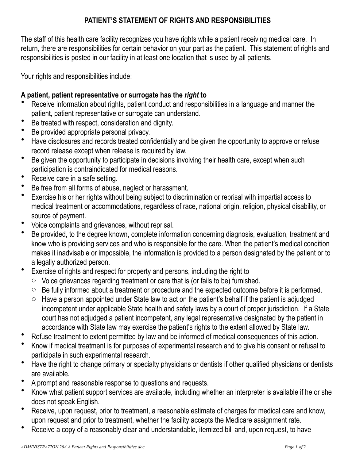## **PATIENT'S STATEMENT OF RIGHTS AND RESPONSIBILITIES**

The staff of this health care facility recognizes you have rights while a patient receiving medical care. In return, there are responsibilities for certain behavior on your part as the patient. This statement of rights and responsibilities is posted in our facility in at least one location that is used by all patients.

Your rights and responsibilities include:

## **A patient, patient representative or surrogate has the** *right* **to**

- Receive information about rights, patient conduct and responsibilities in a language and manner the patient, patient representative or surrogate can understand.
- Be treated with respect, consideration and dignity.
- Be provided appropriate personal privacy.
- Have disclosures and records treated confidentially and be given the opportunity to approve or refuse record release except when release is required by law.
- Be given the opportunity to participate in decisions involving their health care, except when such participation is contraindicated for medical reasons.
- Receive care in a safe setting.
- Be free from all forms of abuse, neglect or harassment.
- Exercise his or her rights without being subject to discrimination or reprisal with impartial access to medical treatment or accommodations, regardless of race, national origin, religion, physical disability, or source of payment.
- Voice complaints and grievances, without reprisal.
- Be provided, to the degree known, complete information concerning diagnosis, evaluation, treatment and know who is providing services and who is responsible for the care. When the patient's medical condition makes it inadvisable or impossible, the information is provided to a person designated by the patient or to a legally authorized person.
- Exercise of rights and respect for property and persons, including the right to
	- $\circ$  Voice grievances regarding treatment or care that is (or fails to be) furnished.
	- $\circ$  Be fully informed about a treatment or procedure and the expected outcome before it is performed.
	- $\circ$  Have a person appointed under State law to act on the patient's behalf if the patient is adjudged incompetent under applicable State health and safety laws by a court of proper jurisdiction. If a State court has not adjudged a patient incompetent, any legal representative designated by the patient in accordance with State law may exercise the patient's rights to the extent allowed by State law.
- Refuse treatment to extent permitted by law and be informed of medical consequences of this action.
- Know if medical treatment is for purposes of experimental research and to give his consent or refusal to participate in such experimental research.
- Have the right to change primary or specialty physicians or dentists if other qualified physicians or dentists are available.
- A prompt and reasonable response to questions and requests.
- Know what patient support services are available, including whether an interpreter is available if he or she does not speak English.
- Receive, upon request, prior to treatment, a reasonable estimate of charges for medical care and know, upon request and prior to treatment, whether the facility accepts the Medicare assignment rate.
- Receive a copy of a reasonably clear and understandable, itemized bill and, upon request, to have